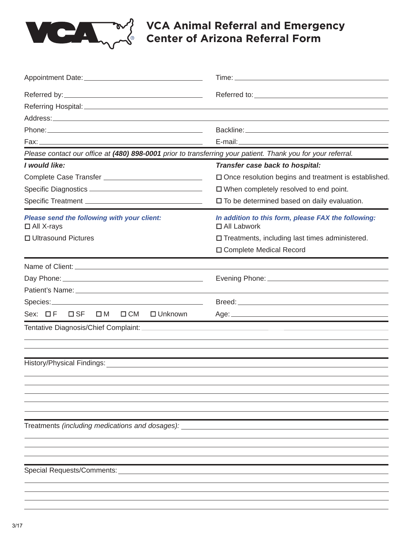

## **VCA Animal Referral and Emergency Center of Arizona Referral Form**

| Please contact our office at (480) 898-0001 prior to transferring your patient. Thank you for your referral. |                                                                           |
|--------------------------------------------------------------------------------------------------------------|---------------------------------------------------------------------------|
| I would like:                                                                                                | Transfer case back to hospital:                                           |
| Complete Case Transfer __________________________________                                                    | $\square$ Once resolution begins and treatment is established.            |
|                                                                                                              | $\Box$ When completely resolved to end point.                             |
|                                                                                                              | $\square$ To be determined based on daily evaluation.                     |
| Please send the following with your client:<br>$\Box$ All X-rays                                             | In addition to this form, please FAX the following:<br>$\Box$ All Labwork |
| □ Ultrasound Pictures                                                                                        | $\square$ Treatments, including last times administered.                  |
|                                                                                                              | □ Complete Medical Record                                                 |
|                                                                                                              |                                                                           |
|                                                                                                              |                                                                           |
|                                                                                                              |                                                                           |
|                                                                                                              |                                                                           |
| Sex: □F<br>$\square$ SF<br>$\square$ M<br>□ CM □ Unknown                                                     |                                                                           |
|                                                                                                              |                                                                           |
|                                                                                                              |                                                                           |
|                                                                                                              |                                                                           |
|                                                                                                              |                                                                           |
|                                                                                                              |                                                                           |
|                                                                                                              |                                                                           |
| Treatments (including medications and dosages):                                                              |                                                                           |
|                                                                                                              |                                                                           |
|                                                                                                              |                                                                           |
|                                                                                                              |                                                                           |
| Special Requests/Comments:                                                                                   |                                                                           |
|                                                                                                              |                                                                           |
|                                                                                                              |                                                                           |